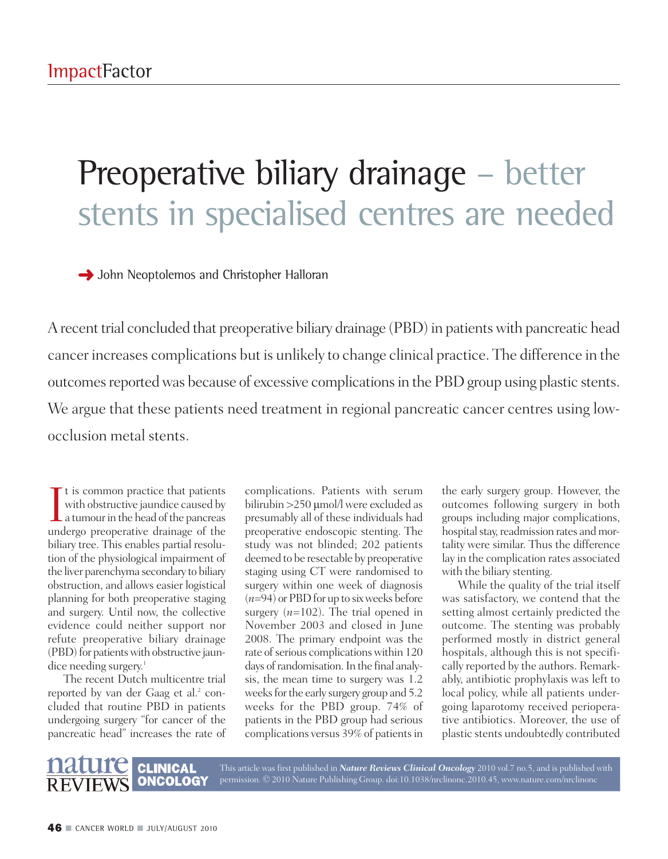## Preoperative biliary drainage – better stents in specialised centres are needed

**→** John Neoptolemos and Christopher Halloran

A recent trial concluded that preoperative biliary drainage (PBD) in patients with pancreatic head cancer increases complications but is unlikely to change clinical practice. The difference in the outcomes reported was because of excessive complications in the PBD group using plastic stents. We argue that these patients need treatment in regional pancreatic cancer centres using lowocclusion metal stents.

I t is common practice that patients<br>with obstructive jaundice caused by<br>a tumour in the head of the pancreas<br>undergo preoperative drainage of the t is common practice that patients with obstructive jaundice caused by undergo preoperative drainage of the biliary tree. This enables partial resolution of the physiological impairment of the liver parenchyma secondary to biliary obstruction, and allows easier logistical planning for both preoperative staging and surgery. Until now, the collective evidence could neither support nor refute preoperative biliary drainage (PBD) for patients with obstructive jaundice needing surgery. 1

The recent Dutch multicentre trial reported by van der Gaag et al. <sup>2</sup> concluded that routine PBD in patients undergoing surgery "for cancer of the pancreatic head" increases the rate of

> **CLINICAL ONCOLOGY**

complications. Patients with serum bilirubin >250 µmol/l were excluded as presumably all of these individuals had preoperative endoscopic stenting. The study was not blinded; 202 patients deemed to be resectable by preoperative staging using CT were randomised to surgery within one week of diagnosis  $(n=94)$  or PBD for up to six weeks before surgery (*n*=102). The trial opened in November 2003 and closed in June 2008. The primary endpoint was the rate of serious complications within 120 days of randomisation. In the final analysis, the mean time to surgery was 1.2 weeks for the early surgery group and 5.2 weeks for the PBD group. 74% of patients in the PBD group had serious complications versus 39% of patientsin

This article was first published in *Nature Reviews Clinical Oncology* 2010 vol.7 no.5, and is published with permission. © 2010 Nature Publishing Group. doi:10.1038/nrclinonc.2010.45, www.nature.com/nrclinonc

the early surgery group. However, the outcomes following surgery in both groups including major complications, hospital stay, readmission rates and mortality were similar. Thus the difference lay in the complication rates associated with the biliary stenting.

While the quality of the trial itself was satisfactory, we contend that the setting almost certainly predicted the outcome. The stenting was probably performed mostly in district general hospitals, although this is not specifically reported by the authors. Remarkably, antibiotic prophylaxis was left to local policy, while all patients undergoing laparotomy received perioperative antibiotics. Moreover, the use of plastic stents undoubtedly contributed

## **46 ■** CANCER WORLD **■** JULY/AUGUST <sup>2010</sup>